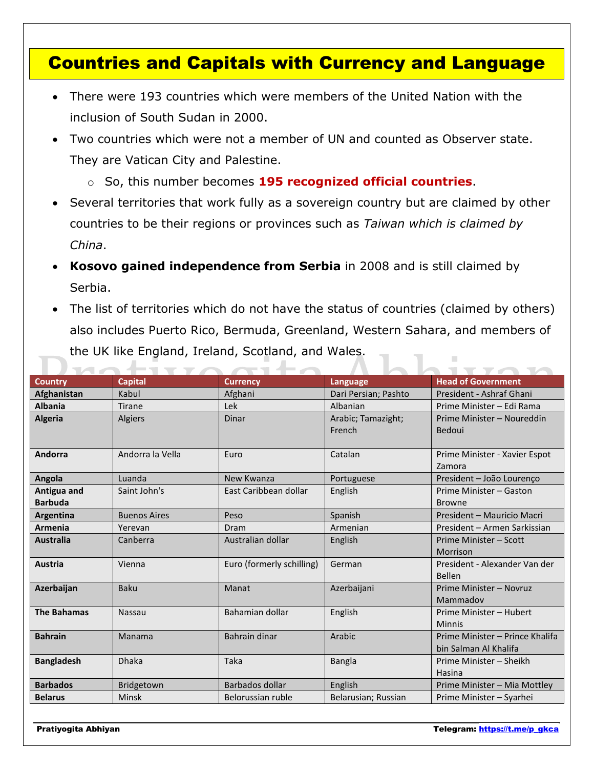## Countries and Capitals with Currency and Language

- There were 193 countries which were members of the United Nation with the inclusion of South Sudan in 2000.
- Two countries which were not a member of UN and counted as Observer state. They are Vatican City and Palestine.
	- o So, this number becomes **195 recognized official countries**.
- Several territories that work fully as a sovereign country but are claimed by other countries to be their regions or provinces such as *Taiwan which is claimed by China*.
- **Kosovo gained independence from Serbia** in 2008 and is still claimed by Serbia.
- The list of territories which do not have the status of countries (claimed by others) also includes Puerto Rico, Bermuda, Greenland, Western Sahara, and members of the UK like England, Ireland, Scotland, and Wales.

| <b>Country</b>                | <b>Capital</b>      | <b>Currency</b>           | Language                     | <b>Head of Government</b>                                |
|-------------------------------|---------------------|---------------------------|------------------------------|----------------------------------------------------------|
| Afghanistan                   | Kabul               | Afghani                   | Dari Persian; Pashto         | President - Ashraf Ghani                                 |
| <b>Albania</b>                | <b>Tirane</b>       | Lek                       | Albanian                     | Prime Minister - Edi Rama                                |
| <b>Algeria</b>                | Algiers             | Dinar                     | Arabic; Tamazight;<br>French | Prime Minister - Noureddin<br>Bedoui                     |
| Andorra                       | Andorra la Vella    | Euro                      | Catalan                      | Prime Minister - Xavier Espot<br>Zamora                  |
| Angola                        | Luanda              | New Kwanza                | Portuguese                   | President - João Lourenço                                |
| Antigua and<br><b>Barbuda</b> | Saint John's        | East Caribbean dollar     | English                      | Prime Minister - Gaston<br><b>Browne</b>                 |
| Argentina                     | <b>Buenos Aires</b> | Peso                      | Spanish                      | President - Mauricio Macri                               |
| <b>Armenia</b>                | Yerevan             | Dram                      | Armenian                     | President – Armen Sarkissian                             |
| <b>Australia</b>              | Canberra            | Australian dollar         | English                      | Prime Minister - Scott<br>Morrison                       |
| <b>Austria</b>                | Vienna              | Euro (formerly schilling) | German                       | President - Alexander Van der<br><b>Bellen</b>           |
| Azerbaijan                    | Baku                | Manat                     | Azerbaijani                  | Prime Minister - Novruz<br>Mammadov                      |
| <b>The Bahamas</b>            | <b>Nassau</b>       | Bahamian dollar           | English                      | Prime Minister - Hubert<br><b>Minnis</b>                 |
| <b>Bahrain</b>                | Manama              | Bahrain dinar             | Arabic                       | Prime Minister - Prince Khalifa<br>bin Salman Al Khalifa |
| <b>Bangladesh</b>             | <b>Dhaka</b>        | Taka                      | <b>Bangla</b>                | Prime Minister - Sheikh<br>Hasina                        |
| <b>Barbados</b>               | Bridgetown          | Barbados dollar           | English                      | Prime Minister - Mia Mottley                             |
| <b>Belarus</b>                | Minsk               | Belorussian ruble         | Belarusian; Russian          | Prime Minister - Syarhei                                 |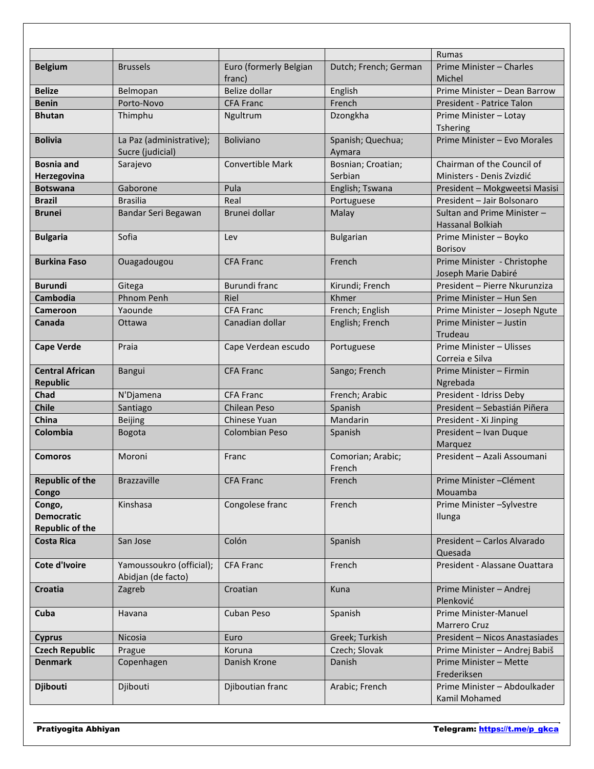|                                                       |                                                |                                  |                               | <b>Rumas</b>                                            |
|-------------------------------------------------------|------------------------------------------------|----------------------------------|-------------------------------|---------------------------------------------------------|
| <b>Belgium</b>                                        | <b>Brussels</b>                                | Euro (formerly Belgian<br>franc) | Dutch; French; German         | Prime Minister - Charles<br>Michel                      |
| <b>Belize</b>                                         | Belmopan                                       | Belize dollar                    | English                       | Prime Minister - Dean Barrow                            |
| <b>Benin</b>                                          | Porto-Novo                                     | <b>CFA Franc</b>                 | French                        | President - Patrice Talon                               |
| <b>Bhutan</b>                                         | Thimphu                                        | Ngultrum                         | Dzongkha                      | Prime Minister - Lotay<br>Tshering                      |
| <b>Bolivia</b>                                        | La Paz (administrative);<br>Sucre (judicial)   | <b>Boliviano</b>                 | Spanish; Quechua;<br>Aymara   | Prime Minister - Evo Morales                            |
| <b>Bosnia and</b><br>Herzegovina                      | Sarajevo                                       | <b>Convertible Mark</b>          | Bosnian; Croatian;<br>Serbian | Chairman of the Council of<br>Ministers - Denis Zvizdić |
| <b>Botswana</b>                                       | Gaborone                                       | Pula                             | English; Tswana               | President - Mokgweetsi Masisi                           |
| <b>Brazil</b>                                         | <b>Brasilia</b>                                | Real                             | Portuguese                    | President - Jair Bolsonaro                              |
| <b>Brunei</b>                                         | Bandar Seri Begawan                            | Brunei dollar                    | Malay                         | Sultan and Prime Minister -<br>Hassanal Bolkiah         |
| <b>Bulgaria</b>                                       | Sofia                                          | Lev                              | <b>Bulgarian</b>              | Prime Minister - Boyko<br>Borisov                       |
| <b>Burkina Faso</b>                                   | Ouagadougou                                    | <b>CFA Franc</b>                 | French                        | Prime Minister - Christophe<br>Joseph Marie Dabiré      |
| <b>Burundi</b>                                        | Gitega                                         | Burundi franc                    | Kirundi; French               | President - Pierre Nkurunziza                           |
| Cambodia                                              | <b>Phnom Penh</b>                              | Riel                             | Khmer                         | Prime Minister - Hun Sen                                |
| <b>Cameroon</b>                                       | Yaounde                                        | <b>CFA Franc</b>                 | French; English               | Prime Minister - Joseph Ngute                           |
| Canada                                                | Ottawa                                         | Canadian dollar                  | English; French               | Prime Minister - Justin<br>Trudeau                      |
| <b>Cape Verde</b>                                     | Praia                                          | Cape Verdean escudo              | Portuguese                    | Prime Minister - Ulisses<br>Correia e Silva             |
| <b>Central African</b><br><b>Republic</b>             | Bangui                                         | <b>CFA Franc</b>                 | Sango; French                 | Prime Minister - Firmin<br>Ngrebada                     |
| Chad                                                  | N'Djamena                                      | <b>CFA Franc</b>                 | French; Arabic                | President - Idriss Deby                                 |
| <b>Chile</b>                                          | Santiago                                       | <b>Chilean Peso</b>              | Spanish                       | President - Sebastián Piñera                            |
| China                                                 | <b>Beijing</b>                                 | <b>Chinese Yuan</b>              | Mandarin                      | President - Xi Jinping                                  |
| Colombia                                              | Bogota                                         | Colombian Peso                   | Spanish                       | President - Ivan Duque<br>Marquez                       |
| <b>Comoros</b>                                        | Moroni                                         | Franc                            | Comorian; Arabic;<br>French   | President - Azali Assoumani                             |
| <b>Republic of the</b><br>Congo                       | <b>Brazzaville</b>                             | <b>CFA Franc</b>                 | French                        | Prime Minister-Clément<br>Mouamba                       |
| Congo,<br><b>Democratic</b><br><b>Republic of the</b> | Kinshasa                                       | Congolese franc                  | French                        | Prime Minister - Sylvestre<br>Ilunga                    |
| <b>Costa Rica</b>                                     | San Jose                                       | Colón                            | Spanish                       | President - Carlos Alvarado<br>Quesada                  |
| Cote d'Ivoire                                         | Yamoussoukro (official);<br>Abidjan (de facto) | <b>CFA Franc</b>                 | French                        | President - Alassane Ouattara                           |
| <b>Croatia</b>                                        | Zagreb                                         | Croatian                         | Kuna                          | Prime Minister - Andrej<br>Plenković                    |
| Cuba                                                  | Havana                                         | Cuban Peso                       | Spanish                       | Prime Minister-Manuel<br>Marrero Cruz                   |
| <b>Cyprus</b>                                         | Nicosia                                        | Euro                             | Greek; Turkish                | President - Nicos Anastasiades                          |
| <b>Czech Republic</b>                                 | Prague                                         | Koruna                           | Czech; Slovak                 | Prime Minister - Andrej Babiš                           |
| <b>Denmark</b>                                        | Copenhagen                                     | Danish Krone                     | Danish                        | Prime Minister - Mette<br>Frederiksen                   |
| <b>Djibouti</b>                                       | Djibouti                                       | Djiboutian franc                 | Arabic; French                | Prime Minister - Abdoulkader<br>Kamil Mohamed           |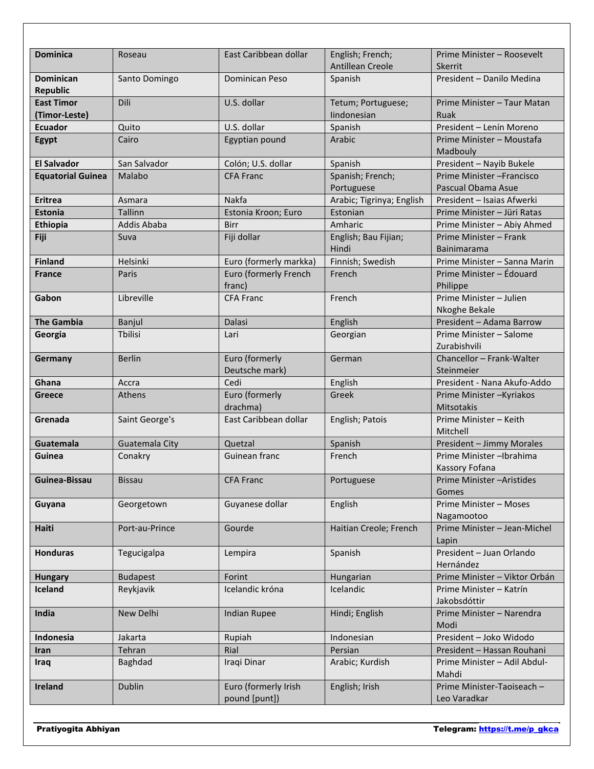| <b>Dominica</b>          | Roseau          | East Caribbean dollar  | English; French;<br><b>Antillean Creole</b> | Prime Minister - Roosevelt<br>Skerrit            |
|--------------------------|-----------------|------------------------|---------------------------------------------|--------------------------------------------------|
| <b>Dominican</b>         | Santo Domingo   | Dominican Peso         | Spanish                                     | President - Danilo Medina                        |
| <b>Republic</b>          |                 |                        |                                             |                                                  |
| <b>East Timor</b>        | Dili            | U.S. dollar            | Tetum; Portuguese;                          | Prime Minister - Taur Matan                      |
| (Timor-Leste)            |                 |                        | lindonesian                                 | Ruak                                             |
| <b>Ecuador</b>           | Quito           | U.S. dollar            | Spanish                                     | President - Lenín Moreno                         |
| Egypt                    | Cairo           | Egyptian pound         | Arabic                                      | Prime Minister - Moustafa                        |
|                          |                 |                        |                                             | Madbouly                                         |
| <b>El Salvador</b>       | San Salvador    | Colón; U.S. dollar     | Spanish                                     | President - Nayib Bukele                         |
| <b>Equatorial Guinea</b> | Malabo          | <b>CFA Franc</b>       | Spanish; French;                            | Prime Minister - Francisco                       |
| <b>Eritrea</b>           | Asmara          | Nakfa                  | Portuguese<br>Arabic; Tigrinya; English     | Pascual Obama Asue<br>President - Isaias Afwerki |
| <b>Estonia</b>           | Tallinn         | Estonia Kroon; Euro    | Estonian                                    | Prime Minister - Jüri Ratas                      |
| Ethiopia                 | Addis Ababa     | <b>Birr</b>            | Amharic                                     | Prime Minister - Abiy Ahmed                      |
| Fiji                     | Suva            | Fiji dollar            | English; Bau Fijian;                        | Prime Minister - Frank                           |
|                          |                 |                        | Hindi                                       | Bainimarama                                      |
| <b>Finland</b>           | Helsinki        | Euro (formerly markka) | Finnish; Swedish                            | Prime Minister - Sanna Marin                     |
| <b>France</b>            | Paris           | Euro (formerly French  | French                                      | Prime Minister - Édouard                         |
|                          |                 | franc)                 |                                             | Philippe                                         |
| Gabon                    | Libreville      | <b>CFA Franc</b>       | French                                      | Prime Minister - Julien                          |
|                          |                 |                        |                                             | Nkoghe Bekale                                    |
| <b>The Gambia</b>        | Banjul          | Dalasi                 | English                                     | President - Adama Barrow                         |
| Georgia                  | Tbilisi         | Lari                   | Georgian                                    | Prime Minister - Salome                          |
|                          |                 |                        |                                             | Zurabishvili                                     |
| Germany                  | <b>Berlin</b>   | Euro (formerly         | German                                      | Chancellor - Frank-Walter<br>Steinmeier          |
| Ghana                    | Accra           | Deutsche mark)<br>Cedi | English                                     | President - Nana Akufo-Addo                      |
| <b>Greece</b>            | <b>Athens</b>   | Euro (formerly         | Greek                                       | Prime Minister-Kyriakos                          |
|                          |                 | drachma)               |                                             | <b>Mitsotakis</b>                                |
| Grenada                  | Saint George's  | East Caribbean dollar  | English; Patois                             | Prime Minister - Keith                           |
|                          |                 |                        |                                             | Mitchell                                         |
| Guatemala                | Guatemala City  | Quetzal                | Spanish                                     | President - Jimmy Morales                        |
| Guinea                   | Conakry         | Guinean franc          | French                                      | Prime Minister-Ibrahima                          |
|                          |                 |                        |                                             | Kassory Fofana                                   |
| Guinea-Bissau            | <b>Bissau</b>   | <b>CFA Franc</b>       | Portuguese                                  | Prime Minister - Aristides                       |
|                          |                 |                        |                                             | Gomes                                            |
| Guyana                   | Georgetown      | Guyanese dollar        | English                                     | Prime Minister - Moses                           |
|                          |                 |                        | Haitian Creole; French                      | Nagamootoo<br>Prime Minister - Jean-Michel       |
| <b>Haiti</b>             | Port-au-Prince  | Gourde                 |                                             | Lapin                                            |
| <b>Honduras</b>          | Tegucigalpa     | Lempira                | Spanish                                     | President - Juan Orlando                         |
|                          |                 |                        |                                             | Hernández                                        |
| <b>Hungary</b>           | <b>Budapest</b> | Forint                 | Hungarian                                   | Prime Minister - Viktor Orbán                    |
| Iceland                  | Reykjavik       | Icelandic króna        | Icelandic                                   | Prime Minister - Katrín                          |
|                          |                 |                        |                                             | Jakobsdóttir                                     |
| India                    | New Delhi       | <b>Indian Rupee</b>    | Hindi; English                              | Prime Minister - Narendra                        |
|                          |                 |                        |                                             | Modi                                             |
| Indonesia                | Jakarta         | Rupiah                 | Indonesian                                  | President - Joko Widodo                          |
| Iran                     | Tehran          | Rial                   | Persian                                     | President - Hassan Rouhani                       |
| Iraq                     | Baghdad         | Iraqi Dinar            | Arabic; Kurdish                             | Prime Minister - Adil Abdul-                     |
| Ireland                  | <b>Dublin</b>   | Euro (formerly Irish   | English; Irish                              | Mahdi<br>Prime Minister-Taoiseach -              |
|                          |                 | pound [punt])          |                                             | Leo Varadkar                                     |
|                          |                 |                        |                                             |                                                  |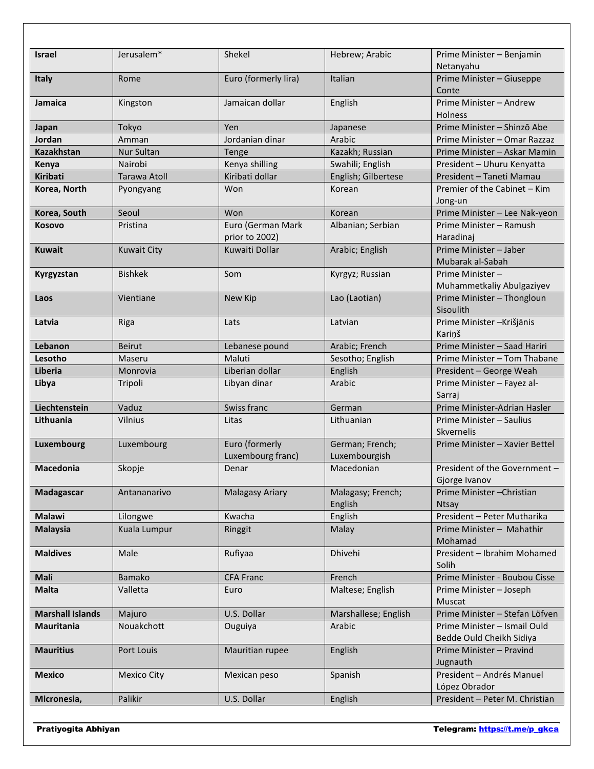| Netanyahu<br>Euro (formerly lira)<br>Italian<br>Prime Minister - Giuseppe<br>Italy<br>Rome<br>Conte<br><b>Jamaica</b><br>Jamaican dollar<br>English<br>Prime Minister - Andrew<br>Kingston<br><b>Holness</b><br>Tokyo<br>Prime Minister - Shinzō Abe<br>Japan<br>Yen<br>Japanese<br>Jordan<br>Arabic<br>Amman<br>Jordanian dinar<br>Prime Minister - Omar Razzaz<br><b>Kazakhstan</b><br>Nur Sultan<br>Kazakh; Russian<br>Prime Minister - Askar Mamin<br>Tenge<br>Nairobi<br>Kenya shilling<br>Swahili; English<br>President - Uhuru Kenyatta<br>Kenya<br><b>Kiribati</b><br>Kiribati dollar<br>English; Gilbertese<br><b>Tarawa Atoll</b><br>President - Taneti Mamau<br>Premier of the Cabinet - Kim<br>Korea, North<br>Won<br>Korean<br>Pyongyang<br>Jong-un<br>Korea, South<br>Seoul<br>Won<br>Prime Minister - Lee Nak-yeon<br>Korean<br>Euro (German Mark<br><b>Kosovo</b><br>Albanian; Serbian<br>Pristina<br>Prime Minister – Ramush<br>prior to 2002)<br>Haradinaj<br>Arabic; English<br>Prime Minister - Jaber<br><b>Kuwait</b><br><b>Kuwait City</b><br>Kuwaiti Dollar<br>Mubarak al-Sabah<br><b>Bishkek</b><br>Prime Minister-<br>Som<br>Kyrgyz; Russian<br>Kyrgyzstan<br>Muhammetkaliy Abulgaziyev<br>Prime Minister - Thongloun<br>Vientiane<br>New Kip<br>Lao (Laotian)<br>Laos<br>Sisoulith<br>Prime Minister-Krišjānis<br>Latvia<br>Riga<br>Lats<br>Latvian<br>Kariņš<br>Arabic; French<br><b>Beirut</b><br>Prime Minister - Saad Hariri<br>Lebanon<br>Lebanese pound<br>Maluti<br>Lesotho<br>Maseru<br>Sesotho; English<br>Prime Minister - Tom Thabane<br>Liberian dollar<br><b>Liberia</b><br>Monrovia<br>English<br>President - George Weah<br>Tripoli<br>Libyan dinar<br>Arabic<br>Prime Minister - Fayez al-<br>Libya<br>Sarraj<br>Liechtenstein<br>Swiss franc<br>Prime Minister-Adrian Hasler<br>Vaduz<br>German<br>Lithuania<br>Vilnius<br>Lithuanian<br>Prime Minister - Saulius<br>Litas<br>Skvernelis<br>Euro (formerly<br>German; French;<br>Luxembourg<br>Prime Minister - Xavier Bettel<br>Luxembourg<br>Luxembourg franc)<br>Luxembourgish<br>Skopje<br>Macedonian<br>President of the Government -<br><b>Macedonia</b><br>Denar<br>Gjorge Ivanov<br>Prime Minister-Christian<br><b>Malagasy Ariary</b><br>Malagasy; French;<br>Madagascar<br>Antananarivo<br>English<br><b>Ntsay</b><br>President - Peter Mutharika<br><b>Malawi</b><br>Kwacha<br>English<br>Lilongwe<br>Malay<br><b>Malaysia</b><br>Kuala Lumpur<br>Prime Minister - Mahathir<br>Ringgit<br>Mohamad<br><b>Maldives</b><br>Dhivehi<br>President - Ibrahim Mohamed<br>Male<br>Rufiyaa<br>Solih<br><b>Mali</b><br><b>CFA Franc</b><br>Prime Minister - Boubou Cisse<br><b>Bamako</b><br>French<br><b>Malta</b><br>Valletta<br>Maltese; English<br>Prime Minister - Joseph<br>Euro<br>Muscat<br>Majuro<br>U.S. Dollar<br>Prime Minister - Stefan Löfven<br><b>Marshall Islands</b><br>Marshallese; English<br>Mauritania<br>Nouakchott<br>Arabic<br>Prime Minister - Ismail Ould<br>Ouguiya<br>Bedde Ould Cheikh Sidiya<br><b>Mauritius</b><br>Prime Minister - Pravind<br>Port Louis<br>Mauritian rupee<br>English<br>Jugnauth<br>President - Andrés Manuel<br><b>Mexico</b><br><b>Mexico City</b><br>Spanish<br>Mexican peso<br>López Obrador<br>Palikir<br>President - Peter M. Christian<br>U.S. Dollar<br>Micronesia,<br>English |               |            |        |                |                           |
|---------------------------------------------------------------------------------------------------------------------------------------------------------------------------------------------------------------------------------------------------------------------------------------------------------------------------------------------------------------------------------------------------------------------------------------------------------------------------------------------------------------------------------------------------------------------------------------------------------------------------------------------------------------------------------------------------------------------------------------------------------------------------------------------------------------------------------------------------------------------------------------------------------------------------------------------------------------------------------------------------------------------------------------------------------------------------------------------------------------------------------------------------------------------------------------------------------------------------------------------------------------------------------------------------------------------------------------------------------------------------------------------------------------------------------------------------------------------------------------------------------------------------------------------------------------------------------------------------------------------------------------------------------------------------------------------------------------------------------------------------------------------------------------------------------------------------------------------------------------------------------------------------------------------------------------------------------------------------------------------------------------------------------------------------------------------------------------------------------------------------------------------------------------------------------------------------------------------------------------------------------------------------------------------------------------------------------------------------------------------------------------------------------------------------------------------------------------------------------------------------------------------------------------------------------------------------------------------------------------------------------------------------------------------------------------------------------------------------------------------------------------------------------------------------------------------------------------------------------------------------------------------------------------------------------------------------------------------------------------------------------------------------------------------------------------------------------------------------------------------------------------------------------------------------------------------------------------------------------------------------------------------------------------------------------------------------------------|---------------|------------|--------|----------------|---------------------------|
|                                                                                                                                                                                                                                                                                                                                                                                                                                                                                                                                                                                                                                                                                                                                                                                                                                                                                                                                                                                                                                                                                                                                                                                                                                                                                                                                                                                                                                                                                                                                                                                                                                                                                                                                                                                                                                                                                                                                                                                                                                                                                                                                                                                                                                                                                                                                                                                                                                                                                                                                                                                                                                                                                                                                                                                                                                                                                                                                                                                                                                                                                                                                                                                                                                                                                                                                       | <b>Israel</b> | Jerusalem* | Shekel | Hebrew; Arabic | Prime Minister - Benjamin |
|                                                                                                                                                                                                                                                                                                                                                                                                                                                                                                                                                                                                                                                                                                                                                                                                                                                                                                                                                                                                                                                                                                                                                                                                                                                                                                                                                                                                                                                                                                                                                                                                                                                                                                                                                                                                                                                                                                                                                                                                                                                                                                                                                                                                                                                                                                                                                                                                                                                                                                                                                                                                                                                                                                                                                                                                                                                                                                                                                                                                                                                                                                                                                                                                                                                                                                                                       |               |            |        |                |                           |
|                                                                                                                                                                                                                                                                                                                                                                                                                                                                                                                                                                                                                                                                                                                                                                                                                                                                                                                                                                                                                                                                                                                                                                                                                                                                                                                                                                                                                                                                                                                                                                                                                                                                                                                                                                                                                                                                                                                                                                                                                                                                                                                                                                                                                                                                                                                                                                                                                                                                                                                                                                                                                                                                                                                                                                                                                                                                                                                                                                                                                                                                                                                                                                                                                                                                                                                                       |               |            |        |                |                           |
|                                                                                                                                                                                                                                                                                                                                                                                                                                                                                                                                                                                                                                                                                                                                                                                                                                                                                                                                                                                                                                                                                                                                                                                                                                                                                                                                                                                                                                                                                                                                                                                                                                                                                                                                                                                                                                                                                                                                                                                                                                                                                                                                                                                                                                                                                                                                                                                                                                                                                                                                                                                                                                                                                                                                                                                                                                                                                                                                                                                                                                                                                                                                                                                                                                                                                                                                       |               |            |        |                |                           |
|                                                                                                                                                                                                                                                                                                                                                                                                                                                                                                                                                                                                                                                                                                                                                                                                                                                                                                                                                                                                                                                                                                                                                                                                                                                                                                                                                                                                                                                                                                                                                                                                                                                                                                                                                                                                                                                                                                                                                                                                                                                                                                                                                                                                                                                                                                                                                                                                                                                                                                                                                                                                                                                                                                                                                                                                                                                                                                                                                                                                                                                                                                                                                                                                                                                                                                                                       |               |            |        |                |                           |
|                                                                                                                                                                                                                                                                                                                                                                                                                                                                                                                                                                                                                                                                                                                                                                                                                                                                                                                                                                                                                                                                                                                                                                                                                                                                                                                                                                                                                                                                                                                                                                                                                                                                                                                                                                                                                                                                                                                                                                                                                                                                                                                                                                                                                                                                                                                                                                                                                                                                                                                                                                                                                                                                                                                                                                                                                                                                                                                                                                                                                                                                                                                                                                                                                                                                                                                                       |               |            |        |                |                           |
|                                                                                                                                                                                                                                                                                                                                                                                                                                                                                                                                                                                                                                                                                                                                                                                                                                                                                                                                                                                                                                                                                                                                                                                                                                                                                                                                                                                                                                                                                                                                                                                                                                                                                                                                                                                                                                                                                                                                                                                                                                                                                                                                                                                                                                                                                                                                                                                                                                                                                                                                                                                                                                                                                                                                                                                                                                                                                                                                                                                                                                                                                                                                                                                                                                                                                                                                       |               |            |        |                |                           |
|                                                                                                                                                                                                                                                                                                                                                                                                                                                                                                                                                                                                                                                                                                                                                                                                                                                                                                                                                                                                                                                                                                                                                                                                                                                                                                                                                                                                                                                                                                                                                                                                                                                                                                                                                                                                                                                                                                                                                                                                                                                                                                                                                                                                                                                                                                                                                                                                                                                                                                                                                                                                                                                                                                                                                                                                                                                                                                                                                                                                                                                                                                                                                                                                                                                                                                                                       |               |            |        |                |                           |
|                                                                                                                                                                                                                                                                                                                                                                                                                                                                                                                                                                                                                                                                                                                                                                                                                                                                                                                                                                                                                                                                                                                                                                                                                                                                                                                                                                                                                                                                                                                                                                                                                                                                                                                                                                                                                                                                                                                                                                                                                                                                                                                                                                                                                                                                                                                                                                                                                                                                                                                                                                                                                                                                                                                                                                                                                                                                                                                                                                                                                                                                                                                                                                                                                                                                                                                                       |               |            |        |                |                           |
|                                                                                                                                                                                                                                                                                                                                                                                                                                                                                                                                                                                                                                                                                                                                                                                                                                                                                                                                                                                                                                                                                                                                                                                                                                                                                                                                                                                                                                                                                                                                                                                                                                                                                                                                                                                                                                                                                                                                                                                                                                                                                                                                                                                                                                                                                                                                                                                                                                                                                                                                                                                                                                                                                                                                                                                                                                                                                                                                                                                                                                                                                                                                                                                                                                                                                                                                       |               |            |        |                |                           |
|                                                                                                                                                                                                                                                                                                                                                                                                                                                                                                                                                                                                                                                                                                                                                                                                                                                                                                                                                                                                                                                                                                                                                                                                                                                                                                                                                                                                                                                                                                                                                                                                                                                                                                                                                                                                                                                                                                                                                                                                                                                                                                                                                                                                                                                                                                                                                                                                                                                                                                                                                                                                                                                                                                                                                                                                                                                                                                                                                                                                                                                                                                                                                                                                                                                                                                                                       |               |            |        |                |                           |
|                                                                                                                                                                                                                                                                                                                                                                                                                                                                                                                                                                                                                                                                                                                                                                                                                                                                                                                                                                                                                                                                                                                                                                                                                                                                                                                                                                                                                                                                                                                                                                                                                                                                                                                                                                                                                                                                                                                                                                                                                                                                                                                                                                                                                                                                                                                                                                                                                                                                                                                                                                                                                                                                                                                                                                                                                                                                                                                                                                                                                                                                                                                                                                                                                                                                                                                                       |               |            |        |                |                           |
|                                                                                                                                                                                                                                                                                                                                                                                                                                                                                                                                                                                                                                                                                                                                                                                                                                                                                                                                                                                                                                                                                                                                                                                                                                                                                                                                                                                                                                                                                                                                                                                                                                                                                                                                                                                                                                                                                                                                                                                                                                                                                                                                                                                                                                                                                                                                                                                                                                                                                                                                                                                                                                                                                                                                                                                                                                                                                                                                                                                                                                                                                                                                                                                                                                                                                                                                       |               |            |        |                |                           |
|                                                                                                                                                                                                                                                                                                                                                                                                                                                                                                                                                                                                                                                                                                                                                                                                                                                                                                                                                                                                                                                                                                                                                                                                                                                                                                                                                                                                                                                                                                                                                                                                                                                                                                                                                                                                                                                                                                                                                                                                                                                                                                                                                                                                                                                                                                                                                                                                                                                                                                                                                                                                                                                                                                                                                                                                                                                                                                                                                                                                                                                                                                                                                                                                                                                                                                                                       |               |            |        |                |                           |
|                                                                                                                                                                                                                                                                                                                                                                                                                                                                                                                                                                                                                                                                                                                                                                                                                                                                                                                                                                                                                                                                                                                                                                                                                                                                                                                                                                                                                                                                                                                                                                                                                                                                                                                                                                                                                                                                                                                                                                                                                                                                                                                                                                                                                                                                                                                                                                                                                                                                                                                                                                                                                                                                                                                                                                                                                                                                                                                                                                                                                                                                                                                                                                                                                                                                                                                                       |               |            |        |                |                           |
|                                                                                                                                                                                                                                                                                                                                                                                                                                                                                                                                                                                                                                                                                                                                                                                                                                                                                                                                                                                                                                                                                                                                                                                                                                                                                                                                                                                                                                                                                                                                                                                                                                                                                                                                                                                                                                                                                                                                                                                                                                                                                                                                                                                                                                                                                                                                                                                                                                                                                                                                                                                                                                                                                                                                                                                                                                                                                                                                                                                                                                                                                                                                                                                                                                                                                                                                       |               |            |        |                |                           |
|                                                                                                                                                                                                                                                                                                                                                                                                                                                                                                                                                                                                                                                                                                                                                                                                                                                                                                                                                                                                                                                                                                                                                                                                                                                                                                                                                                                                                                                                                                                                                                                                                                                                                                                                                                                                                                                                                                                                                                                                                                                                                                                                                                                                                                                                                                                                                                                                                                                                                                                                                                                                                                                                                                                                                                                                                                                                                                                                                                                                                                                                                                                                                                                                                                                                                                                                       |               |            |        |                |                           |
|                                                                                                                                                                                                                                                                                                                                                                                                                                                                                                                                                                                                                                                                                                                                                                                                                                                                                                                                                                                                                                                                                                                                                                                                                                                                                                                                                                                                                                                                                                                                                                                                                                                                                                                                                                                                                                                                                                                                                                                                                                                                                                                                                                                                                                                                                                                                                                                                                                                                                                                                                                                                                                                                                                                                                                                                                                                                                                                                                                                                                                                                                                                                                                                                                                                                                                                                       |               |            |        |                |                           |
|                                                                                                                                                                                                                                                                                                                                                                                                                                                                                                                                                                                                                                                                                                                                                                                                                                                                                                                                                                                                                                                                                                                                                                                                                                                                                                                                                                                                                                                                                                                                                                                                                                                                                                                                                                                                                                                                                                                                                                                                                                                                                                                                                                                                                                                                                                                                                                                                                                                                                                                                                                                                                                                                                                                                                                                                                                                                                                                                                                                                                                                                                                                                                                                                                                                                                                                                       |               |            |        |                |                           |
|                                                                                                                                                                                                                                                                                                                                                                                                                                                                                                                                                                                                                                                                                                                                                                                                                                                                                                                                                                                                                                                                                                                                                                                                                                                                                                                                                                                                                                                                                                                                                                                                                                                                                                                                                                                                                                                                                                                                                                                                                                                                                                                                                                                                                                                                                                                                                                                                                                                                                                                                                                                                                                                                                                                                                                                                                                                                                                                                                                                                                                                                                                                                                                                                                                                                                                                                       |               |            |        |                |                           |
|                                                                                                                                                                                                                                                                                                                                                                                                                                                                                                                                                                                                                                                                                                                                                                                                                                                                                                                                                                                                                                                                                                                                                                                                                                                                                                                                                                                                                                                                                                                                                                                                                                                                                                                                                                                                                                                                                                                                                                                                                                                                                                                                                                                                                                                                                                                                                                                                                                                                                                                                                                                                                                                                                                                                                                                                                                                                                                                                                                                                                                                                                                                                                                                                                                                                                                                                       |               |            |        |                |                           |
|                                                                                                                                                                                                                                                                                                                                                                                                                                                                                                                                                                                                                                                                                                                                                                                                                                                                                                                                                                                                                                                                                                                                                                                                                                                                                                                                                                                                                                                                                                                                                                                                                                                                                                                                                                                                                                                                                                                                                                                                                                                                                                                                                                                                                                                                                                                                                                                                                                                                                                                                                                                                                                                                                                                                                                                                                                                                                                                                                                                                                                                                                                                                                                                                                                                                                                                                       |               |            |        |                |                           |
|                                                                                                                                                                                                                                                                                                                                                                                                                                                                                                                                                                                                                                                                                                                                                                                                                                                                                                                                                                                                                                                                                                                                                                                                                                                                                                                                                                                                                                                                                                                                                                                                                                                                                                                                                                                                                                                                                                                                                                                                                                                                                                                                                                                                                                                                                                                                                                                                                                                                                                                                                                                                                                                                                                                                                                                                                                                                                                                                                                                                                                                                                                                                                                                                                                                                                                                                       |               |            |        |                |                           |
|                                                                                                                                                                                                                                                                                                                                                                                                                                                                                                                                                                                                                                                                                                                                                                                                                                                                                                                                                                                                                                                                                                                                                                                                                                                                                                                                                                                                                                                                                                                                                                                                                                                                                                                                                                                                                                                                                                                                                                                                                                                                                                                                                                                                                                                                                                                                                                                                                                                                                                                                                                                                                                                                                                                                                                                                                                                                                                                                                                                                                                                                                                                                                                                                                                                                                                                                       |               |            |        |                |                           |
|                                                                                                                                                                                                                                                                                                                                                                                                                                                                                                                                                                                                                                                                                                                                                                                                                                                                                                                                                                                                                                                                                                                                                                                                                                                                                                                                                                                                                                                                                                                                                                                                                                                                                                                                                                                                                                                                                                                                                                                                                                                                                                                                                                                                                                                                                                                                                                                                                                                                                                                                                                                                                                                                                                                                                                                                                                                                                                                                                                                                                                                                                                                                                                                                                                                                                                                                       |               |            |        |                |                           |
|                                                                                                                                                                                                                                                                                                                                                                                                                                                                                                                                                                                                                                                                                                                                                                                                                                                                                                                                                                                                                                                                                                                                                                                                                                                                                                                                                                                                                                                                                                                                                                                                                                                                                                                                                                                                                                                                                                                                                                                                                                                                                                                                                                                                                                                                                                                                                                                                                                                                                                                                                                                                                                                                                                                                                                                                                                                                                                                                                                                                                                                                                                                                                                                                                                                                                                                                       |               |            |        |                |                           |
|                                                                                                                                                                                                                                                                                                                                                                                                                                                                                                                                                                                                                                                                                                                                                                                                                                                                                                                                                                                                                                                                                                                                                                                                                                                                                                                                                                                                                                                                                                                                                                                                                                                                                                                                                                                                                                                                                                                                                                                                                                                                                                                                                                                                                                                                                                                                                                                                                                                                                                                                                                                                                                                                                                                                                                                                                                                                                                                                                                                                                                                                                                                                                                                                                                                                                                                                       |               |            |        |                |                           |
|                                                                                                                                                                                                                                                                                                                                                                                                                                                                                                                                                                                                                                                                                                                                                                                                                                                                                                                                                                                                                                                                                                                                                                                                                                                                                                                                                                                                                                                                                                                                                                                                                                                                                                                                                                                                                                                                                                                                                                                                                                                                                                                                                                                                                                                                                                                                                                                                                                                                                                                                                                                                                                                                                                                                                                                                                                                                                                                                                                                                                                                                                                                                                                                                                                                                                                                                       |               |            |        |                |                           |
|                                                                                                                                                                                                                                                                                                                                                                                                                                                                                                                                                                                                                                                                                                                                                                                                                                                                                                                                                                                                                                                                                                                                                                                                                                                                                                                                                                                                                                                                                                                                                                                                                                                                                                                                                                                                                                                                                                                                                                                                                                                                                                                                                                                                                                                                                                                                                                                                                                                                                                                                                                                                                                                                                                                                                                                                                                                                                                                                                                                                                                                                                                                                                                                                                                                                                                                                       |               |            |        |                |                           |
|                                                                                                                                                                                                                                                                                                                                                                                                                                                                                                                                                                                                                                                                                                                                                                                                                                                                                                                                                                                                                                                                                                                                                                                                                                                                                                                                                                                                                                                                                                                                                                                                                                                                                                                                                                                                                                                                                                                                                                                                                                                                                                                                                                                                                                                                                                                                                                                                                                                                                                                                                                                                                                                                                                                                                                                                                                                                                                                                                                                                                                                                                                                                                                                                                                                                                                                                       |               |            |        |                |                           |
|                                                                                                                                                                                                                                                                                                                                                                                                                                                                                                                                                                                                                                                                                                                                                                                                                                                                                                                                                                                                                                                                                                                                                                                                                                                                                                                                                                                                                                                                                                                                                                                                                                                                                                                                                                                                                                                                                                                                                                                                                                                                                                                                                                                                                                                                                                                                                                                                                                                                                                                                                                                                                                                                                                                                                                                                                                                                                                                                                                                                                                                                                                                                                                                                                                                                                                                                       |               |            |        |                |                           |
|                                                                                                                                                                                                                                                                                                                                                                                                                                                                                                                                                                                                                                                                                                                                                                                                                                                                                                                                                                                                                                                                                                                                                                                                                                                                                                                                                                                                                                                                                                                                                                                                                                                                                                                                                                                                                                                                                                                                                                                                                                                                                                                                                                                                                                                                                                                                                                                                                                                                                                                                                                                                                                                                                                                                                                                                                                                                                                                                                                                                                                                                                                                                                                                                                                                                                                                                       |               |            |        |                |                           |
|                                                                                                                                                                                                                                                                                                                                                                                                                                                                                                                                                                                                                                                                                                                                                                                                                                                                                                                                                                                                                                                                                                                                                                                                                                                                                                                                                                                                                                                                                                                                                                                                                                                                                                                                                                                                                                                                                                                                                                                                                                                                                                                                                                                                                                                                                                                                                                                                                                                                                                                                                                                                                                                                                                                                                                                                                                                                                                                                                                                                                                                                                                                                                                                                                                                                                                                                       |               |            |        |                |                           |
|                                                                                                                                                                                                                                                                                                                                                                                                                                                                                                                                                                                                                                                                                                                                                                                                                                                                                                                                                                                                                                                                                                                                                                                                                                                                                                                                                                                                                                                                                                                                                                                                                                                                                                                                                                                                                                                                                                                                                                                                                                                                                                                                                                                                                                                                                                                                                                                                                                                                                                                                                                                                                                                                                                                                                                                                                                                                                                                                                                                                                                                                                                                                                                                                                                                                                                                                       |               |            |        |                |                           |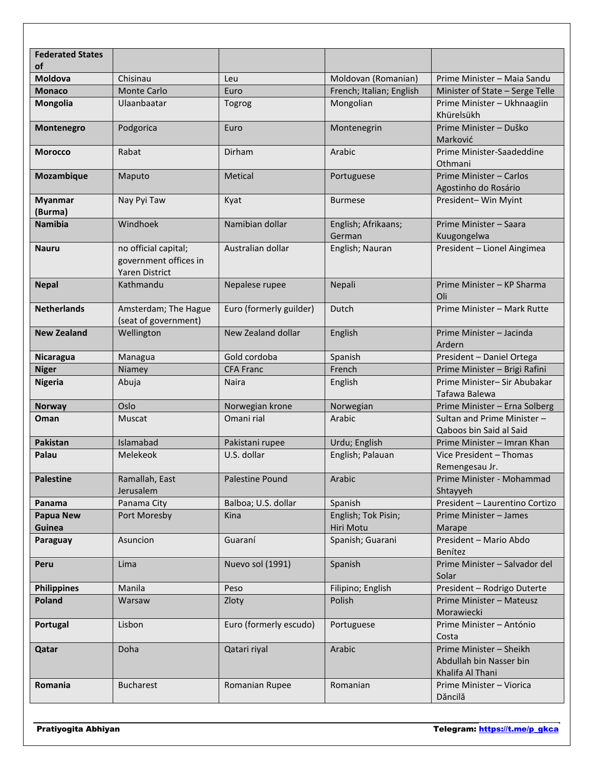| <b>Federated States</b><br>οf |                                                                        |                         |                                  |                                                                        |
|-------------------------------|------------------------------------------------------------------------|-------------------------|----------------------------------|------------------------------------------------------------------------|
| <b>Moldova</b>                | Chisinau                                                               | Leu                     | Moldovan (Romanian)              | Prime Minister - Maia Sandu                                            |
| <b>Monaco</b>                 | <b>Monte Carlo</b>                                                     | Euro                    | French; Italian; English         | Minister of State - Serge Telle                                        |
| <b>Mongolia</b>               | Ulaanbaatar                                                            | Togrog                  | Mongolian                        | Prime Minister - Ukhnaagiin<br>Khürelsükh                              |
| Montenegro                    | Podgorica                                                              | Euro                    | Montenegrin                      | Prime Minister - Duško<br>Marković                                     |
| <b>Morocco</b>                | Rabat                                                                  | <b>Dirham</b>           | Arabic                           | Prime Minister-Saadeddine<br>Othmani                                   |
| Mozambique                    | Maputo                                                                 | Metical                 | Portuguese                       | Prime Minister - Carlos<br>Agostinho do Rosário                        |
| <b>Myanmar</b><br>(Burma)     | Nay Pyi Taw                                                            | Kyat                    | <b>Burmese</b>                   | President-Win Myint                                                    |
| <b>Namibia</b>                | Windhoek                                                               | Namibian dollar         | English; Afrikaans;<br>German    | Prime Minister - Saara<br>Kuugongelwa                                  |
| <b>Nauru</b>                  | no official capital;<br>government offices in<br><b>Yaren District</b> | Australian dollar       | English; Nauran                  | President - Lionel Aingimea                                            |
| <b>Nepal</b>                  | Kathmandu                                                              | Nepalese rupee          | Nepali                           | Prime Minister - KP Sharma<br>Oli                                      |
| <b>Netherlands</b>            | Amsterdam; The Hague<br>(seat of government)                           | Euro (formerly guilder) | Dutch                            | Prime Minister - Mark Rutte                                            |
| <b>New Zealand</b>            | Wellington                                                             | New Zealand dollar      | English                          | Prime Minister - Jacinda<br>Ardern                                     |
| Nicaragua                     | Managua                                                                | Gold cordoba            | Spanish                          | President - Daniel Ortega                                              |
| <b>Niger</b>                  | Niamey                                                                 | <b>CFA Franc</b>        | French                           | Prime Minister - Brigi Rafini                                          |
| <b>Nigeria</b>                | Abuja                                                                  | Naira                   | English                          | Prime Minister- Sir Abubakar<br>Tafawa Balewa                          |
| <b>Norway</b>                 | Oslo                                                                   | Norwegian krone         | Norwegian                        | Prime Minister - Erna Solberg                                          |
| Oman                          | Muscat                                                                 | Omani rial              | Arabic                           | Sultan and Prime Minister -<br>Qaboos bin Said al Said                 |
| Pakistan                      | Islamabad                                                              | Pakistani rupee         | Urdu; English                    | Prime Minister - Imran Khan                                            |
| Palau                         | Melekeok                                                               | U.S. dollar             | English; Palauan                 | Vice President - Thomas<br>Remengesau Jr.                              |
| <b>Palestine</b>              | Ramallah, East<br>Jerusalem                                            | Palestine Pound         | Arabic                           | Prime Minister - Mohammad<br>Shtayyeh                                  |
| Panama                        | Panama City                                                            | Balboa; U.S. dollar     | Spanish                          | President - Laurentino Cortizo                                         |
| <b>Papua New</b><br>Guinea    | Port Moresby                                                           | Kina                    | English; Tok Pisin;<br>Hiri Motu | Prime Minister - James<br>Marape                                       |
| Paraguay                      | Asuncion                                                               | Guaraní                 | Spanish; Guarani                 | President - Mario Abdo<br>Benítez                                      |
| Peru                          | Lima                                                                   | Nuevo sol (1991)        | Spanish                          | Prime Minister - Salvador del<br>Solar                                 |
| <b>Philippines</b>            | Manila                                                                 | Peso                    | Filipino; English                | President - Rodrigo Duterte                                            |
| Poland                        | Warsaw                                                                 | Zloty                   | Polish                           | Prime Minister - Mateusz<br>Morawiecki                                 |
| Portugal                      | Lisbon                                                                 | Euro (formerly escudo)  | Portuguese                       | Prime Minister - António<br>Costa                                      |
| Qatar                         | Doha                                                                   | Qatari riyal            | Arabic                           | Prime Minister - Sheikh<br>Abdullah bin Nasser bin<br>Khalifa Al Thani |
| Romania                       | <b>Bucharest</b>                                                       | Romanian Rupee          | Romanian                         | Prime Minister - Viorica<br>Dăncilă                                    |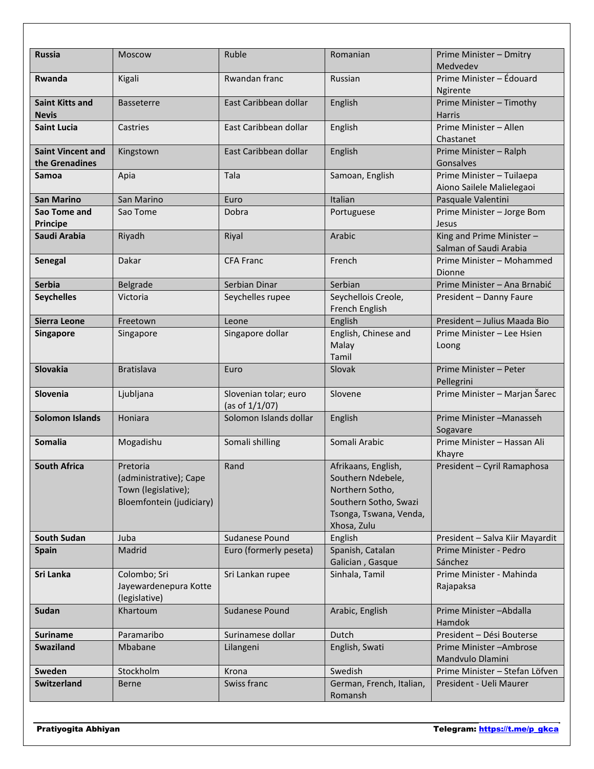| <b>Russia</b>                              | <b>Moscow</b>                                                                         | Ruble                                      | Romanian                                                                                                                      | Prime Minister - Dmitry<br>Medvedev                    |
|--------------------------------------------|---------------------------------------------------------------------------------------|--------------------------------------------|-------------------------------------------------------------------------------------------------------------------------------|--------------------------------------------------------|
| <b>Rwanda</b>                              | Kigali                                                                                | Rwandan franc                              | Russian                                                                                                                       | Prime Minister - Édouard<br>Ngirente                   |
| <b>Saint Kitts and</b><br><b>Nevis</b>     | <b>Basseterre</b>                                                                     | East Caribbean dollar                      | English                                                                                                                       | Prime Minister - Timothy<br><b>Harris</b>              |
| <b>Saint Lucia</b>                         | Castries                                                                              | East Caribbean dollar                      | English                                                                                                                       | Prime Minister - Allen<br>Chastanet                    |
| <b>Saint Vincent and</b><br>the Grenadines | Kingstown                                                                             | East Caribbean dollar                      | English                                                                                                                       | Prime Minister - Ralph<br>Gonsalves                    |
| Samoa                                      | Apia                                                                                  | Tala                                       | Samoan, English                                                                                                               | Prime Minister - Tuilaepa<br>Aiono Sailele Malielegaoi |
| <b>San Marino</b>                          | San Marino                                                                            | Euro                                       | Italian                                                                                                                       | Pasquale Valentini                                     |
| Sao Tome and<br>Principe                   | Sao Tome                                                                              | Dobra                                      | Portuguese                                                                                                                    | Prime Minister - Jorge Bom<br>Jesus                    |
| Saudi Arabia                               | Riyadh                                                                                | Riyal                                      | Arabic                                                                                                                        | King and Prime Minister-<br>Salman of Saudi Arabia     |
| Senegal                                    | Dakar                                                                                 | <b>CFA Franc</b>                           | French                                                                                                                        | Prime Minister - Mohammed<br>Dionne                    |
| <b>Serbia</b>                              | Belgrade                                                                              | Serbian Dinar                              | Serbian                                                                                                                       | Prime Minister - Ana Brnabić                           |
| <b>Seychelles</b>                          | Victoria                                                                              | Seychelles rupee                           | Seychellois Creole,<br>French English                                                                                         | President - Danny Faure                                |
| <b>Sierra Leone</b>                        | Freetown                                                                              | Leone                                      | English                                                                                                                       | President - Julius Maada Bio                           |
| <b>Singapore</b>                           | Singapore                                                                             | Singapore dollar                           | English, Chinese and<br>Malay<br>Tamil                                                                                        | Prime Minister - Lee Hsien<br>Loong                    |
| <b>Slovakia</b>                            | <b>Bratislava</b>                                                                     | Euro                                       | Slovak                                                                                                                        | Prime Minister - Peter<br>Pellegrini                   |
| <b>Slovenia</b>                            | Ljubljana                                                                             | Slovenian tolar; euro<br>(as of $1/1/07$ ) | Slovene                                                                                                                       | Prime Minister - Marjan Šarec                          |
| <b>Solomon Islands</b>                     | Honiara                                                                               | Solomon Islands dollar                     | English                                                                                                                       | Prime Minister-Manasseh<br>Sogavare                    |
| <b>Somalia</b>                             | Mogadishu                                                                             | Somali shilling                            | Somali Arabic                                                                                                                 | Prime Minister - Hassan Ali<br>Khayre                  |
| <b>South Africa</b>                        | Pretoria<br>(administrative); Cape<br>Town (legislative);<br>Bloemfontein (judiciary) | Rand                                       | Afrikaans, English,<br>Southern Ndebele,<br>Northern Sotho,<br>Southern Sotho, Swazi<br>Tsonga, Tswana, Venda,<br>Xhosa, Zulu | President - Cyril Ramaphosa                            |
| <b>South Sudan</b>                         | Juba                                                                                  | Sudanese Pound                             | English                                                                                                                       | President - Salva Kiir Mayardit                        |
| Spain                                      | Madrid                                                                                | Euro (formerly peseta)                     | Spanish, Catalan<br>Galician, Gasque                                                                                          | Prime Minister - Pedro<br>Sánchez                      |
| Sri Lanka                                  | Colombo; Sri<br>Jayewardenepura Kotte<br>(legislative)                                | Sri Lankan rupee                           | Sinhala, Tamil                                                                                                                | Prime Minister - Mahinda<br>Rajapaksa                  |
| Sudan                                      | Khartoum                                                                              | Sudanese Pound                             | Arabic, English                                                                                                               | Prime Minister-Abdalla<br>Hamdok                       |
| <b>Suriname</b>                            | Paramaribo                                                                            | Surinamese dollar                          | Dutch                                                                                                                         | President - Dési Bouterse                              |
| Swaziland                                  | Mbabane                                                                               | Lilangeni                                  | English, Swati                                                                                                                | Prime Minister-Ambrose<br>Mandvulo Dlamini             |
| Sweden                                     | Stockholm                                                                             | Krona                                      | Swedish                                                                                                                       | Prime Minister - Stefan Löfven                         |
| <b>Switzerland</b>                         | <b>Berne</b>                                                                          | Swiss franc                                | German, French, Italian,<br>Romansh                                                                                           | President - Ueli Maurer                                |